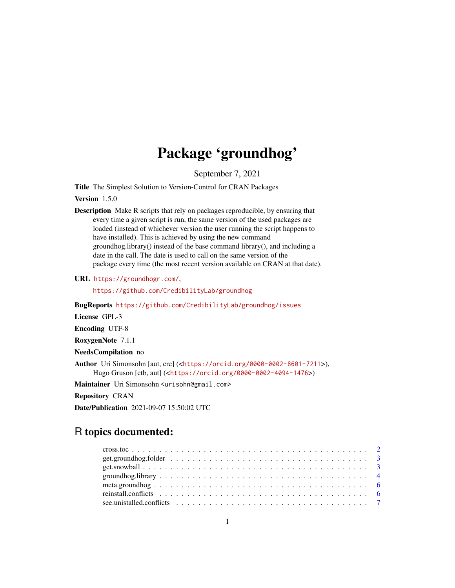## Package 'groundhog'

September 7, 2021

Title The Simplest Solution to Version-Control for CRAN Packages

Version 1.5.0

Description Make R scripts that rely on packages reproducible, by ensuring that every time a given script is run, the same version of the used packages are loaded (instead of whichever version the user running the script happens to have installed). This is achieved by using the new command groundhog.library() instead of the base command library(), and including a date in the call. The date is used to call on the same version of the package every time (the most recent version available on CRAN at that date).

URL <https://groundhogr.com/>,

<https://github.com/CredibilityLab/groundhog>

BugReports <https://github.com/CredibilityLab/groundhog/issues>

License GPL-3

Encoding UTF-8

RoxygenNote 7.1.1

NeedsCompilation no

Author Uri Simonsohn [aut, cre] (<<https://orcid.org/0000-0002-8601-7211>>), Hugo Gruson [ctb, aut] (<<https://orcid.org/0000-0002-4094-1476>>)

Maintainer Uri Simonsohn <urisohn@gmail.com>

Repository CRAN

Date/Publication 2021-09-07 15:50:02 UTC

## R topics documented: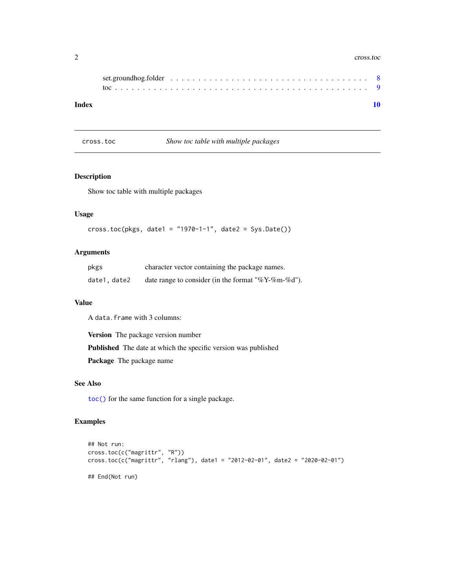#### <span id="page-1-0"></span>2 cross.toc cross.toc cross.toc cross.toc cross.toc cross.toc cross.toc cross.toc cross.toc cross.toc cross.toc

| Index |  |
|-------|--|

cross.toc *Show toc table with multiple packages*

## Description

Show toc table with multiple packages

## Usage

```
cross.toc(pkgs, date1 = "1970-1-1", date2 = Sys.Date())
```
## Arguments

| pkgs         | character vector containing the package names.         |
|--------------|--------------------------------------------------------|
| date1, date2 | date range to consider (in the format "% $Y$ -%m-%d"). |

## Value

A data.frame with 3 columns:

Version The package version number

Published The date at which the specific version was published

Package The package name

#### See Also

[toc\(\)](#page-8-1) for the same function for a single package.

## Examples

```
## Not run:
cross.toc(c("magrittr", "R"))
cross.toc(c("magrittr", "rlang"), date1 = "2012-02-01", date2 = "2020-02-01")
## End(Not run)
```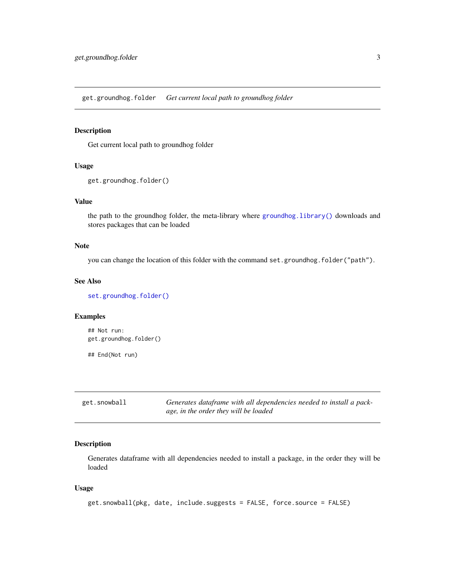<span id="page-2-1"></span><span id="page-2-0"></span>get.groundhog.folder *Get current local path to groundhog folder*

## Description

Get current local path to groundhog folder

#### Usage

```
get.groundhog.folder()
```
## Value

the path to the groundhog folder, the meta-library where [groundhog.library\(\)](#page-3-1) downloads and stores packages that can be loaded

## Note

you can change the location of this folder with the command set.groundhog.folder("path").

## See Also

[set.groundhog.folder\(\)](#page-7-1)

## Examples

```
## Not run:
get.groundhog.folder()
## End(Not run)
```
get.snowball *Generates dataframe with all dependencies needed to install a package, in the order they will be loaded*

## Description

Generates dataframe with all dependencies needed to install a package, in the order they will be loaded

#### Usage

```
get.snowball(pkg, date, include.suggests = FALSE, force.source = FALSE)
```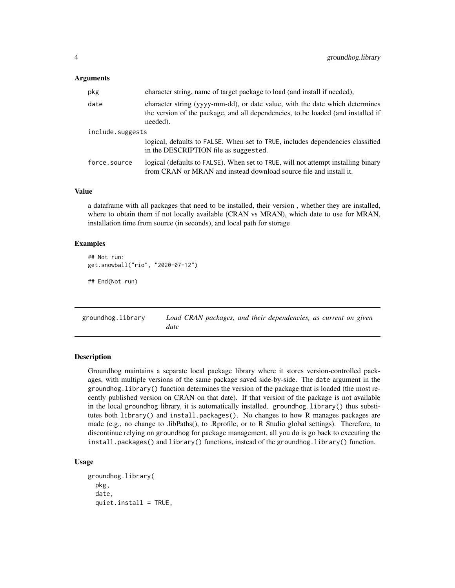#### <span id="page-3-0"></span>Arguments

| pkg              | character string, name of target package to load (and install if needed),                                                                                                    |
|------------------|------------------------------------------------------------------------------------------------------------------------------------------------------------------------------|
| date             | character string (yyyy-mm-dd), or date value, with the date which determines<br>the version of the package, and all dependencies, to be loaded (and installed if<br>needed). |
| include.suggests |                                                                                                                                                                              |
|                  | logical, defaults to FALSE. When set to TRUE, includes dependencies classified<br>in the DESCRIPTION file as suggested.                                                      |
| force.source     | logical (defaults to FALSE). When set to TRUE, will not attempt installing binary<br>from CRAN or MRAN and instead download source file and install it.                      |

## Value

a dataframe with all packages that need to be installed, their version , whether they are installed, where to obtain them if not locally available (CRAN vs MRAN), which date to use for MRAN, installation time from source (in seconds), and local path for storage

#### Examples

```
## Not run:
get.snowball("rio", "2020-07-12")
```
## End(Not run)

<span id="page-3-1"></span>groundhog.library *Load CRAN packages, and their dependencies, as current on given date*

#### **Description**

Groundhog maintains a separate local package library where it stores version-controlled packages, with multiple versions of the same package saved side-by-side. The date argument in the groundhog.library() function determines the version of the package that is loaded (the most recently published version on CRAN on that date). If that version of the package is not available in the local groundhog library, it is automatically installed. groundhog.library() thus substitutes both library() and install.packages(). No changes to how R manages packages are made (e.g., no change to .libPaths(), to .Rprofile, or to R Studio global settings). Therefore, to discontinue relying on groundhog for package management, all you do is go back to executing the install.packages() and library() functions, instead of the groundhog.library() function.

#### Usage

```
groundhog.library(
 pkg,
  date,
  quiet.install = TRUE,
```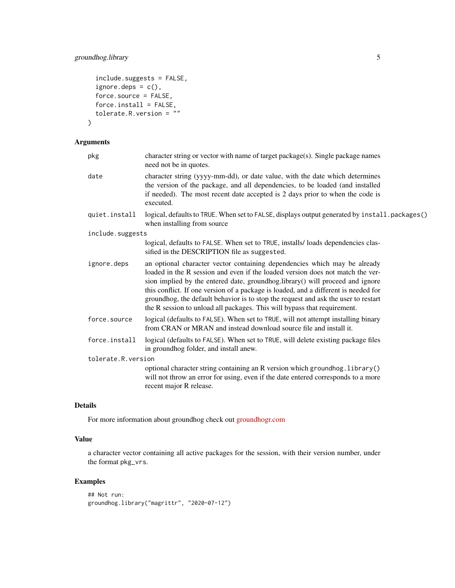## groundhog.library 5

```
include.suggests = FALSE,
  ignore.deps = c(),
  force.source = FALSE,
 force.install = FALSE,
  tolerate.R.version = ""
\mathcal{L}
```
## Arguments

| pkg                 | character string or vector with name of target package(s). Single package names<br>need not be in quotes.                                                                                                                                                                                                                                                                                                                                                                                             |
|---------------------|-------------------------------------------------------------------------------------------------------------------------------------------------------------------------------------------------------------------------------------------------------------------------------------------------------------------------------------------------------------------------------------------------------------------------------------------------------------------------------------------------------|
| date                | character string (yyyy-mm-dd), or date value, with the date which determines<br>the version of the package, and all dependencies, to be loaded (and installed<br>if needed). The most recent date accepted is 2 days prior to when the code is<br>executed.                                                                                                                                                                                                                                           |
| quiet.install       | logical, defaults to TRUE. When set to FALSE, displays output generated by install.packages()<br>when installing from source                                                                                                                                                                                                                                                                                                                                                                          |
| include.suggests    |                                                                                                                                                                                                                                                                                                                                                                                                                                                                                                       |
|                     | logical, defaults to FALSE. When set to TRUE, installs/loads dependencies clas-<br>sified in the DESCRIPTION file as suggested.                                                                                                                                                                                                                                                                                                                                                                       |
| ignore.deps         | an optional character vector containing dependencies which may be already<br>loaded in the R session and even if the loaded version does not match the ver-<br>sion implied by the entered date, groundhog.library() will proceed and ignore<br>this conflict. If one version of a package is loaded, and a different is needed for<br>groundhog, the default behavior is to stop the request and ask the user to restart<br>the R session to unload all packages. This will bypass that requirement. |
| force.source        | logical (defaults to FALSE). When set to TRUE, will not attempt installing binary<br>from CRAN or MRAN and instead download source file and install it.                                                                                                                                                                                                                                                                                                                                               |
| force.install       | logical (defaults to FALSE). When set to TRUE, will delete existing package files<br>in groundhog folder, and install anew.                                                                                                                                                                                                                                                                                                                                                                           |
| tolerate.R. version |                                                                                                                                                                                                                                                                                                                                                                                                                                                                                                       |
|                     | optional character string containing an R version which groundhog. library()<br>will not throw an error for using, even if the date entered corresponds to a more<br>recent major R release.                                                                                                                                                                                                                                                                                                          |
|                     |                                                                                                                                                                                                                                                                                                                                                                                                                                                                                                       |

## Details

For more information about groundhog check out [groundhogr.com](http://groundhogr.com)

## Value

a character vector containing all active packages for the session, with their version number, under the format pkg\_vrs.

## Examples

```
## Not run:
groundhog.library("magrittr", "2020-07-12")
```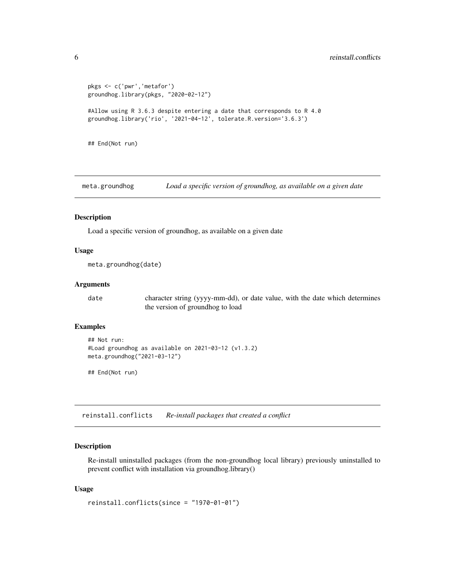```
pkgs <- c('pwr','metafor')
groundhog.library(pkgs, "2020-02-12")
#Allow using R 3.6.3 despite entering a date that corresponds to R 4.0
groundhog.library('rio', '2021-04-12', tolerate.R.version='3.6.3')
## End(Not run)
```
meta.groundhog *Load a specific version of groundhog, as available on a given date*

#### Description

Load a specific version of groundhog, as available on a given date

#### Usage

```
meta.groundhog(date)
```
#### Arguments

date character string (yyyy-mm-dd), or date value, with the date which determines the version of groundhog to load

## Examples

```
## Not run:
#Load groundhog as available on 2021-03-12 (v1.3.2)
meta.groundhog("2021-03-12")
```
## End(Not run)

reinstall.conflicts *Re-install packages that created a conflict*

#### Description

Re-install uninstalled packages (from the non-groundhog local library) previously uninstalled to prevent conflict with installation via groundhog.library()

#### Usage

```
reinstall.conflicts(since = "1970-01-01")
```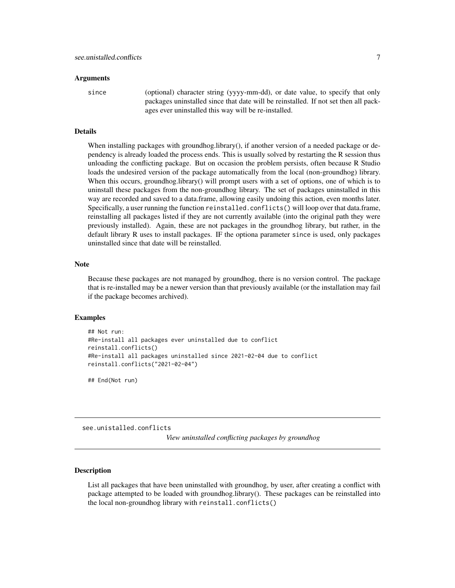#### <span id="page-6-0"></span>Arguments

since (optional) character string (yyyy-mm-dd), or date value, to specify that only packages uninstalled since that date will be reinstalled. If not set then all packages ever uninstalled this way will be re-installed.

#### Details

When installing packages with groundhog.library(), if another version of a needed package or dependency is already loaded the process ends. This is usually solved by restarting the R session thus unloading the conflicting package. But on occasion the problem persists, often because R Studio loads the undesired version of the package automatically from the local (non-groundhog) library. When this occurs, groundhog.library() will prompt users with a set of options, one of which is to uninstall these packages from the non-groundhog library. The set of packages uninstalled in this way are recorded and saved to a data.frame, allowing easily undoing this action, even months later. Specifically, a user running the function reinstalled.conflicts() will loop over that data.frame, reinstalling all packages listed if they are not currently available (into the original path they were previously installed). Again, these are not packages in the groundhog library, but rather, in the default library R uses to install packages. IF the optiona parameter since is used, only packages uninstalled since that date will be reinstalled.

#### Note

Because these packages are not managed by groundhog, there is no version control. The package that is re-installed may be a newer version than that previously available (or the installation may fail if the package becomes archived).

#### Examples

```
## Not run:
#Re-install all packages ever uninstalled due to conflict
reinstall.conflicts()
#Re-install all packages uninstalled since 2021-02-04 due to conflict
reinstall.conflicts("2021-02-04")
```
## End(Not run)

see.unistalled.conflicts

*View uninstalled conflicting packages by groundhog*

#### **Description**

List all packages that have been uninstalled with groundhog, by user, after creating a conflict with package attempted to be loaded with groundhog.library(). These packages can be reinstalled into the local non-groundhog library with reinstall.conflicts()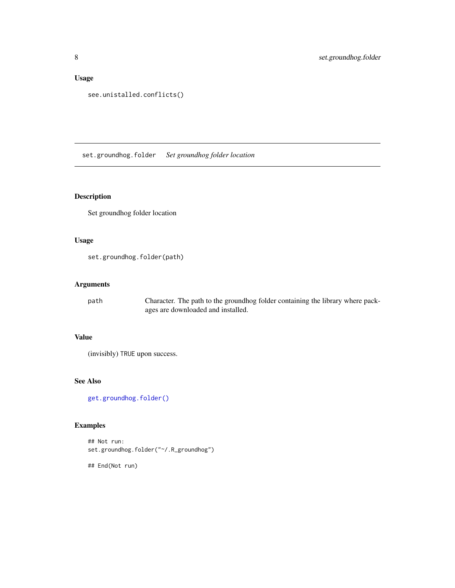## <span id="page-7-0"></span>Usage

```
see.unistalled.conflicts()
```
<span id="page-7-1"></span>set.groundhog.folder *Set groundhog folder location*

## Description

Set groundhog folder location

## Usage

set.groundhog.folder(path)

## Arguments

path Character. The path to the groundhog folder containing the library where packages are downloaded and installed.

## Value

(invisibly) TRUE upon success.

## See Also

[get.groundhog.folder\(\)](#page-2-1)

## Examples

## Not run: set.groundhog.folder("~/.R\_groundhog")

## End(Not run)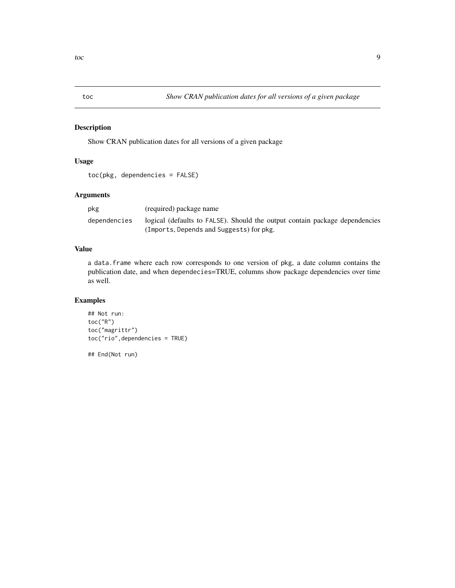<span id="page-8-1"></span><span id="page-8-0"></span>

## Description

Show CRAN publication dates for all versions of a given package

## Usage

```
toc(pkg, dependencies = FALSE)
```
## Arguments

| pkg          | (required) package name                                                     |
|--------------|-----------------------------------------------------------------------------|
| dependencies | logical (defaults to FALSE). Should the output contain package dependencies |
|              | (Imports, Depends and Suggests) for pkg.                                    |

## Value

a data.frame where each row corresponds to one version of pkg, a date column contains the publication date, and when dependecies=TRUE, columns show package dependencies over time as well.

## Examples

```
## Not run:
toc("R")
toc("magrittr")
toc("rio",dependencies = TRUE)
```
## End(Not run)